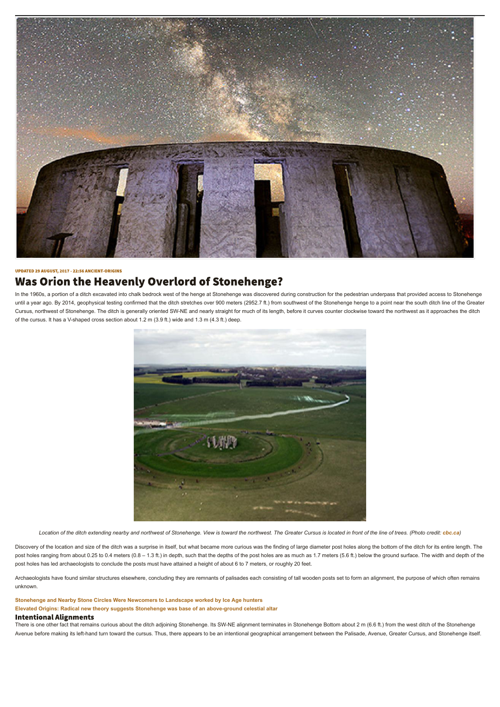

#### **UPDATED 29 AUGUST, 2017 - 22:56 ANCIENT-ORIGINS**

# **Was Orion the Heavenly Overlord of Stonehenge?**

In the 1960s, a portion of a ditch excavated into chalk bedrock west of the henge at Stonehenge was discovered during construction for the pedestrian underpass that provided access to Stonehenge until a year ago. By 2014, geophysical testing confirmed that the ditch stretches over 900 meters (2952.7 ft.) from southwest of the Stonehenge henge to a point near the south ditch line of the Greater Cursus, northwest of Stonehenge. The ditch is generally oriented SW-NE and nearly straight for much of its length, before it curves counter clockwise toward the northwest as it approaches the ditch of the cursus. It has a V-shaped cross section about 1.2 m (3.9 ft.) wide and 1.3 m (4.3 ft.) deep.



Location of the ditch extending nearby and northwest of Stonehenge. View is toward the northwest. The Greater Cursus is located in front of the line of trees. (Photo credit: *cbc.ca*)

Discovery of the location and size of the ditch was a surprise in itself, but what became more curious was the finding of large diameter post holes along the bottom of the ditch for its entire length. The post holes ranging from about 0.25 to 0.4 meters (0.8 – 1.3 ft.) in depth, such that the depths of the post holes are as much as 1.7 meters (5.6 ft.) below the ground surface. The width and depth of the post holes has led archaeologists to conclude the posts must have attained a height of about 6 to 7 meters, or roughly 20 feet.

Archaeologists have found similar structures elsewhere, concluding they are remnants of palisades each consisting of tall wooden posts set to form an alignment, the purpose of which often remains unknown.

**Stonehenge and Nearby Stone Circles Were Newcomers to Landscape worked by Ice Age hunters Elevated Origins: Radical new theory suggests Stonehenge was base of an above-ground celestial altar**

## **Intentional Alignments**

There is one other fact that remains curious about the ditch adjoining Stonehenge. Its SW-NE alignment terminates in Stonehenge Bottom about 2 m (6.6 ft.) from the west ditch of the Stonehenge Avenue before making its left-hand turn toward the cursus. Thus, there appears to be an intentional geographical arrangement between the Palisade, Avenue, Greater Cursus, and Stonehenge itself.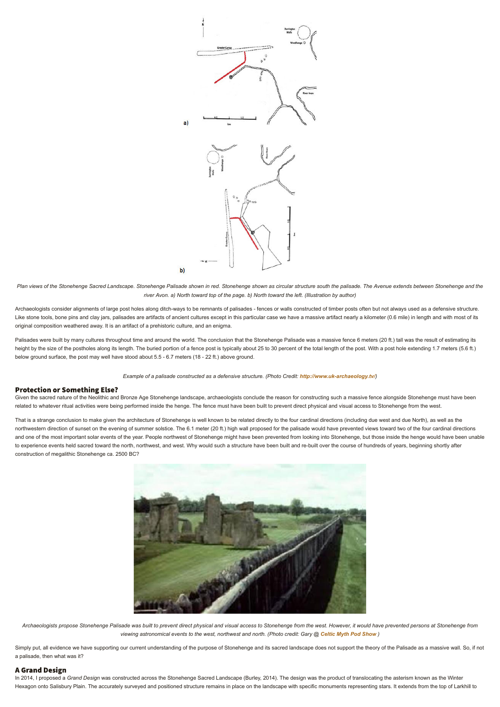

Plan views of the Stonehenge Sacred Landscape. Stonehenge Palisade shown in red. Stonehenge shown as circular structure south the palisade. The Avenue extends between Stonehenge and the *river Avon. a) North toward top of the page. b) North toward the left. (Illustration by author)*

Archaeologists consider alignments of large post holes along ditch-ways to be remnants of palisades - fences or walls constructed of timber posts often but not always used as a defensive structure. Like stone tools, bone pins and clay jars, palisades are artifacts of ancient cultures except in this particular case we have a massive artifact nearly a kilometer (0.6 mile) in length and with most of its original composition weathered away. It is an artifact of a prehistoric culture, and an enigma.

Given the sacred nature of the Neolithic and Bronze Age Stonehenge landscape, archaeologists conclude the reason for constructing such a massive fence alongside Stonehenge must have been related to whatever ritual activities were being performed inside the henge. The fence must have been built to prevent direct physical and visual access to Stonehenge from the west.

Palisades were built by many cultures throughout time and around the world. The conclusion that the Stonehenge Palisade was a massive fence 6 meters (20 ft.) tall was the result of estimating its height by the size of the postholes along its length. The buried portion of a fence post is typically about 25 to 30 percent of the total length of the post. With a post hole extending 1.7 meters (5.6 ft.) below ground surface, the post may well have stood about 5.5 - 6.7 meters (18 - 22 ft.) above ground.

*Example of a palisade constructed as a defensive structure. (Photo Credit: http://www.uk-archaeology.tv/)*

# **Protection or Something Else?**

That is a strange conclusion to make given the architecture of Stonehenge is well known to be related directly to the four cardinal directions (including due west and due North), as well as the northwestern direction of sunset on the evening of summer solstice. The 6.1 meter (20 ft.) high wall proposed for the palisade would have prevented views toward two of the four cardinal directions and one of the most important solar events of the year. People northwest of Stonehenge might have been prevented from looking into Stonehenge, but those inside the henge would have been unable to experience events held sacred toward the north, northwest, and west. Why would such a structure have been built and re-built over the course of hundreds of years, beginning shortly after construction of megalithic Stonehenge ca. 2500 BC?



*Archaeologists propose Stonehenge Palisade was built to prevent direct physical and visual access to Stonehenge from the west. However, it would have prevented persons at Stonehenge from viewing astronomical events to the west, northwest and north. (Photo credit: Gary @ Celtic Myth Pod Show )*

Simply put, all evidence we have supporting our current understanding of the purpose of Stonehenge and its sacred landscape does not support the theory of the Palisade as a massive wall. So, if not a palisade, then what was it?

# **A Grand Design**

In 2014, I proposed a *Grand Design* was constructed across the Stonehenge Sacred Landscape (Burley, 2014). The design was the product of translocating the asterism known as the Winter Hexagon onto Salisbury Plain. The accurately surveyed and positioned structure remains in place on the landscape with specific monuments representing stars. It extends from the top of Larkhill to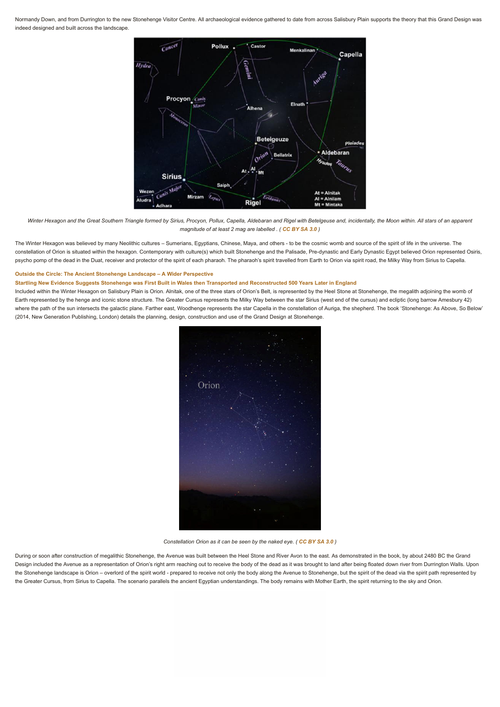Normandy Down, and from Durrington to the new Stonehenge Visitor Centre. All archaeological evidence gathered to date from across Salisbury Plain supports the theory that this Grand Design was indeed designed and built across the landscape.



The Winter Hexagon was believed by many Neolithic cultures – Sumerians, Egyptians, Chinese, Maya, and others - to be the cosmic womb and source of the spirit of life in the universe. The constellation of Orion is situated within the hexagon. Contemporary with culture(s) which built Stonehenge and the Palisade, Pre-dynastic and Early Dynastic Egypt believed Orion represented Osiris, psycho pomp of the dead in the Duat, receiver and protector of the spirit of each pharaoh. The pharaoh's spirit travelled from Earth to Orion via spirit road, the Milky Way from Sirius to Capella.

*Winter Hexagon and the Great Southern Triangle formed by Sirius, Procyon, Pollux, Capella, Aldebaran and Rigel with Betelgeuse and, incidentally, the Moon within. All stars of an apparent magnitude of at least 2 mag are labelled . ( CC BY SA 3.0 )*

#### **Outside the Circle: The Ancient Stonehenge Landscape – A Wider Perspective**

#### **Startling New Evidence Suggests Stonehenge was First Built in Wales then Transported and Reconstructed 500 Years Later in England**

Included within the Winter Hexagon on Salisbury Plain is Orion. Alnitak, one of the three stars of Orion's Belt, is represented by the Heel Stone at Stonehenge, the megalith adjoining the womb of Earth represented by the henge and iconic stone structure. The Greater Cursus represents the Milky Way between the star Sirius (west end of the cursus) and ecliptic (long barrow Amesbury 42) where the path of the sun intersects the galactic plane. Farther east, Woodhenge represents the star Capella in the constellation of Auriga, the shepherd. The book 'Stonehenge: As Above, So Below' (2014, New Generation Publishing, London) details the planning, design, construction and use of the Grand Design at Stonehenge.





*Constellation Orion as it can be seen by the naked eye. ( CC BY SA 3.0 )*

During or soon after construction of megalithic Stonehenge, the Avenue was built between the Heel Stone and River Avon to the east. As demonstrated in the book, by about 2480 BC the Grand Design included the Avenue as a representation of Orion's right arm reaching out to receive the body of the dead as it was brought to land after being floated down river from Durrington Walls. Upon the Stonehenge landscape is Orion – overlord of the spirit world - prepared to receive not only the body along the Avenue to Stonehenge, but the spirit of the dead via the spirit path represented by the Greater Cursus, from Sirius to Capella. The scenario parallels the ancient Egyptian understandings. The body remains with Mother Earth, the spirit returning to the sky and Orion.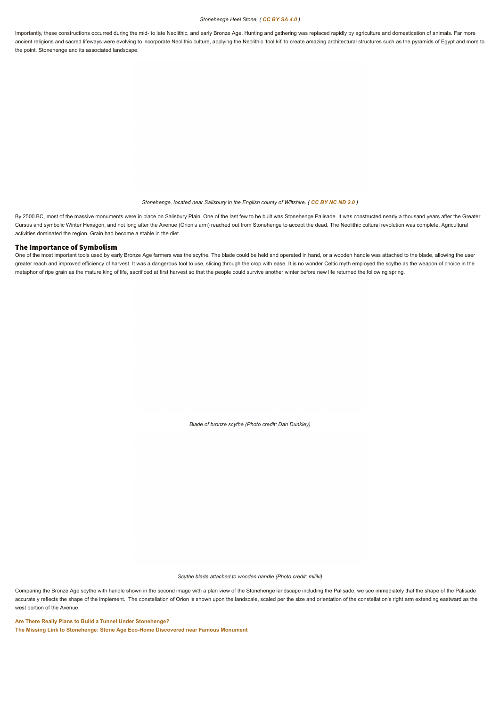#### *Stonehenge Heel Stone. ( CC BY SA 4.0 )*

Importantly, these constructions occurred during the mid- to late Neolithic, and early Bronze Age. Hunting and gathering was replaced rapidly by agriculture and domestication of animals. Far more ancient religions and sacred lifeways were evolving to incorporate Neolithic culture, applying the Neolithic 'tool kit' to create amazing architectural structures such as the pyramids of Egypt and more to the point, Stonehenge and its associated landscape.

By 2500 BC, most of the massive monuments were in place on Salisbury Plain. One of the last few to be built was Stonehenge Palisade. It was constructed nearly a thousand years after the Greater Cursus and symbolic Winter Hexagon, and not long after the Avenue (Orion's arm) reached out from Stonehenge to accept the dead. The Neolithic cultural revolution was complete. Agricultural activities dominated the region. Grain had become a stable in the diet.

# The Importance of Symbolism

*Stonehenge, located near Salisbury in the English county of Wiltshire. ( CC BY NC ND 2.0 )*

One of the most important tools used by early Bronze Age farmers was the scythe. The blade could be held and operated in hand, or a wooden handle was attached to the blade, allowing the user greater reach and improved efficiency of harvest. It was a dangerous tool to use, slicing through the crop with ease. It is no wonder Celtic myth employed the scythe as the weapon of choice in the metaphor of ripe grain as the mature king of life, sacrificed at first harvest so that the people could survive another winter before new life returned the following spring.

*Blade of bronze scythe (Photo credit: Dan Dunkley)*

*Scythe blade attached to wooden handle (Photo credit: miliki)*

Comparing the Bronze Age scythe with handle shown in the second image with a plan view of the Stonehenge landscape including the Palisade, we see immediately that the shape of the Palisade accurately reflects the shape of the implement. The constellation of Orion is shown upon the landscale, scaled per the size and orientation of the constellation's right arm extending eastward as the west portion of the Avenue.

**Are There Really Plans to Build a Tunnel Under Stonehenge? The Missing Link to Stonehenge: Stone Age Eco-Home Discovered near Famous Monument**